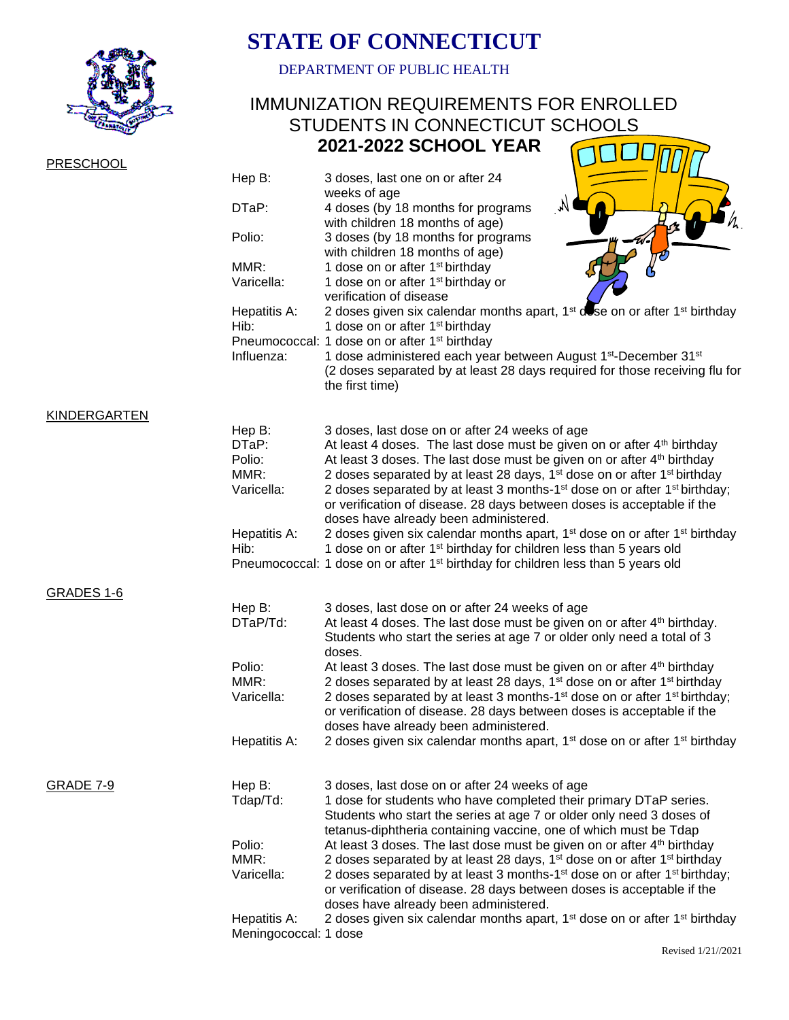

## **STATE OF CONNECTICUT**

DEPARTMENT OF PUBLIC HEALTH

## IMMUNIZATION REQUIREMENTS FOR ENROLLED STUDENTS IN CONNECTICUT SCHOOLS  **2021-2022 SCHOOL YEAR** COLORED

| PRESCHOOL           |                                       |                                                                                                                                                                                                                                                        |
|---------------------|---------------------------------------|--------------------------------------------------------------------------------------------------------------------------------------------------------------------------------------------------------------------------------------------------------|
|                     | Hep B:                                | 3 doses, last one on or after 24<br>weeks of age                                                                                                                                                                                                       |
|                     | DTaP:                                 | M<br>4 doses (by 18 months for programs<br>with children 18 months of age)                                                                                                                                                                             |
|                     | Polio:                                | 3 doses (by 18 months for programs<br>with children 18 months of age)                                                                                                                                                                                  |
|                     | MMR:                                  | 1 dose on or after 1 <sup>st</sup> birthday                                                                                                                                                                                                            |
|                     | Varicella:                            | 1 dose on or after 1 <sup>st</sup> birthday or<br>verification of disease                                                                                                                                                                              |
|                     | Hepatitis A:                          | 2 doses given six calendar months apart, 1 <sup>st</sup> dose on or after 1 <sup>st</sup> birthday                                                                                                                                                     |
|                     | Hib:                                  | 1 dose on or after 1 <sup>st</sup> birthday                                                                                                                                                                                                            |
|                     | Influenza:                            | Pneumococcal: 1 dose on or after 1 <sup>st</sup> birthday<br>1 dose administered each year between August 1 <sup>st</sup> -December 31 <sup>st</sup><br>(2 doses separated by at least 28 days required for those receiving flu for<br>the first time) |
| <b>KINDERGARTEN</b> |                                       |                                                                                                                                                                                                                                                        |
|                     | Hep B:                                | 3 doses, last dose on or after 24 weeks of age                                                                                                                                                                                                         |
|                     | DTaP:<br>Polio:                       | At least 4 doses. The last dose must be given on or after 4 <sup>th</sup> birthday<br>At least 3 doses. The last dose must be given on or after 4 <sup>th</sup> birthday                                                                               |
|                     | MMR:                                  | 2 doses separated by at least 28 days, 1 <sup>st</sup> dose on or after 1 <sup>st</sup> birthday                                                                                                                                                       |
|                     | Varicella:                            | 2 doses separated by at least 3 months-1 <sup>st</sup> dose on or after 1 <sup>st</sup> birthday;                                                                                                                                                      |
|                     |                                       | or verification of disease. 28 days between doses is acceptable if the                                                                                                                                                                                 |
|                     |                                       | doses have already been administered.                                                                                                                                                                                                                  |
|                     | Hepatitis A:<br>Hib:                  | 2 doses given six calendar months apart, 1 <sup>st</sup> dose on or after 1 <sup>st</sup> birthday<br>1 dose on or after 1 <sup>st</sup> birthday for children less than 5 years old                                                                   |
|                     |                                       | Pneumococcal: 1 dose on or after 1 <sup>st</sup> birthday for children less than 5 years old                                                                                                                                                           |
| GRADES 1-6          |                                       |                                                                                                                                                                                                                                                        |
|                     | Hep B:                                | 3 doses, last dose on or after 24 weeks of age                                                                                                                                                                                                         |
|                     | DTaP/Td:                              | At least 4 doses. The last dose must be given on or after 4 <sup>th</sup> birthday.<br>Students who start the series at age 7 or older only need a total of 3<br>doses.                                                                                |
|                     | Polio:                                | At least 3 doses. The last dose must be given on or after 4 <sup>th</sup> birthday                                                                                                                                                                     |
|                     | MMR:                                  | 2 doses separated by at least 28 days, 1 <sup>st</sup> dose on or after 1 <sup>st</sup> birthday                                                                                                                                                       |
|                     | Varicella:                            | 2 doses separated by at least 3 months-1 <sup>st</sup> dose on or after 1 <sup>st</sup> birthday;<br>or verification of disease. 28 days between doses is acceptable if the<br>doses have already been administered.                                   |
|                     | Hepatitis A:                          | 2 doses given six calendar months apart, 1 <sup>st</sup> dose on or after 1 <sup>st</sup> birthday                                                                                                                                                     |
| <b>GRADE 7-9</b>    | Hep B:                                | 3 doses, last dose on or after 24 weeks of age                                                                                                                                                                                                         |
|                     | Tdap/Td:                              | 1 dose for students who have completed their primary DTaP series.<br>Students who start the series at age 7 or older only need 3 doses of                                                                                                              |
|                     |                                       | tetanus-diphtheria containing vaccine, one of which must be Tdap                                                                                                                                                                                       |
|                     | Polio:                                | At least 3 doses. The last dose must be given on or after 4 <sup>th</sup> birthday                                                                                                                                                                     |
|                     | MMR:<br>Varicella:                    | 2 doses separated by at least 28 days, 1 <sup>st</sup> dose on or after 1 <sup>st</sup> birthday<br>2 doses separated by at least 3 months-1 <sup>st</sup> dose on or after 1 <sup>st</sup> birthday;                                                  |
|                     |                                       | or verification of disease. 28 days between doses is acceptable if the                                                                                                                                                                                 |
|                     |                                       | doses have already been administered.                                                                                                                                                                                                                  |
|                     | Hepatitis A:<br>Meningococcal: 1 dose | 2 doses given six calendar months apart, 1 <sup>st</sup> dose on or after 1 <sup>st</sup> birthday                                                                                                                                                     |